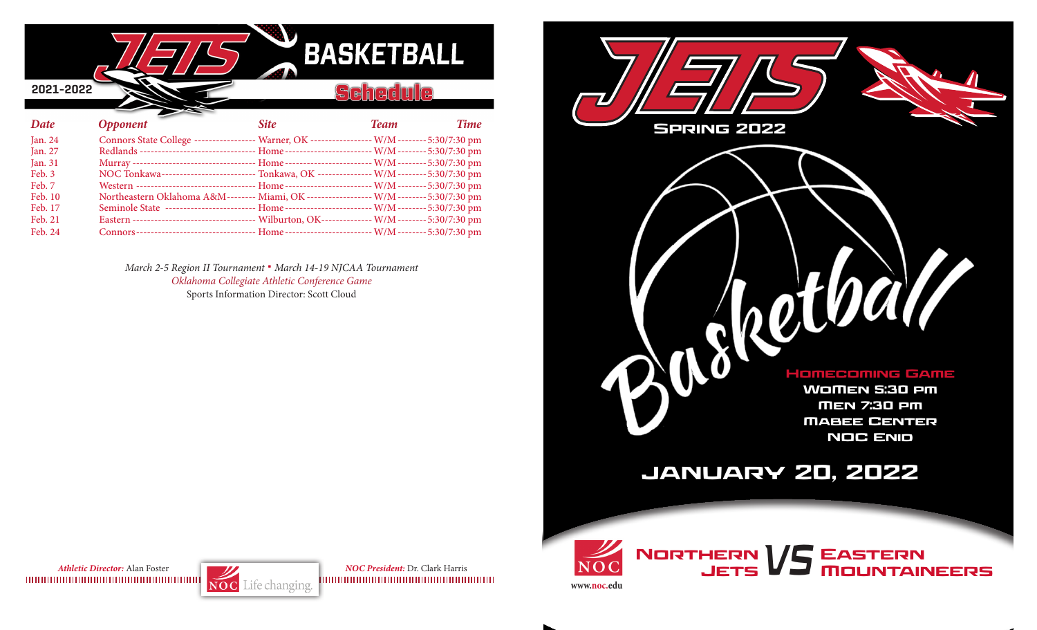

Feb. 24 Connors--------------------------------- Home ------------------------W/M--------5:30/7:30 pm

*March 2-5 Region II Tournament* **.** *March 14-19 NJCAA Tournament Oklahoma Collegiate Athletic Conference Game* Sports Information Director: Scott Cloud



*Athletic Director:* Alan Foster *NOC President:* Dr. Clark Harris